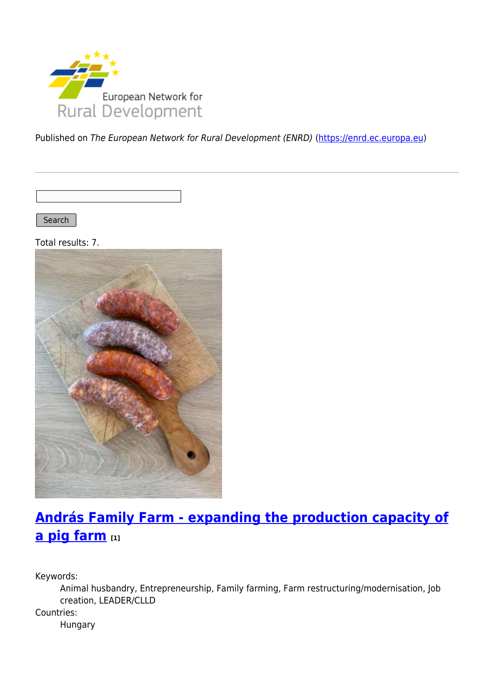

Published on The European Network for Rural Development (ENRD) [\(https://enrd.ec.europa.eu](https://enrd.ec.europa.eu))

Search |

Total results: 7.



# **[András Family Farm - expanding the production capacity of](https://enrd.ec.europa.eu/projects-practice/andras-family-farm-expanding-production-capacity-pig-farm_en) [a pig farm](https://enrd.ec.europa.eu/projects-practice/andras-family-farm-expanding-production-capacity-pig-farm_en) [1]**

Keywords:

Animal husbandry, Entrepreneurship, Family farming, Farm restructuring/modernisation, Job creation, LEADER/CLLD Countries: Hungary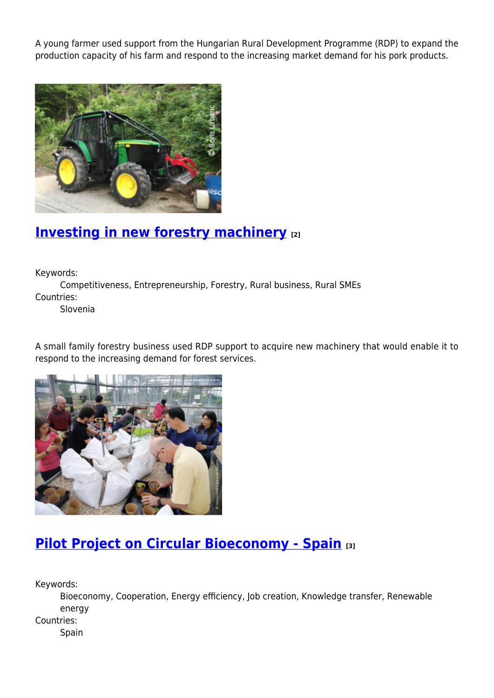A young farmer used support from the Hungarian Rural Development Programme (RDP) to expand the production capacity of his farm and respond to the increasing market demand for his pork products.



### **[Investing in new forestry machinery](https://enrd.ec.europa.eu/projects-practice/investing-new-forestry-machinery_en) [2]**

Keywords:

Competitiveness, Entrepreneurship, Forestry, Rural business, Rural SMEs Countries:

Slovenia

A small family forestry business used RDP support to acquire new machinery that would enable it to respond to the increasing demand for forest services.



### **[Pilot Project on Circular Bioeconomy - Spain](https://enrd.ec.europa.eu/projects-practice/re-thinking-management-organic-waste_en) [3]**

Keywords:

Bioeconomy, Cooperation, Energy efficiency, Job creation, Knowledge transfer, Renewable energy

Countries:

Spain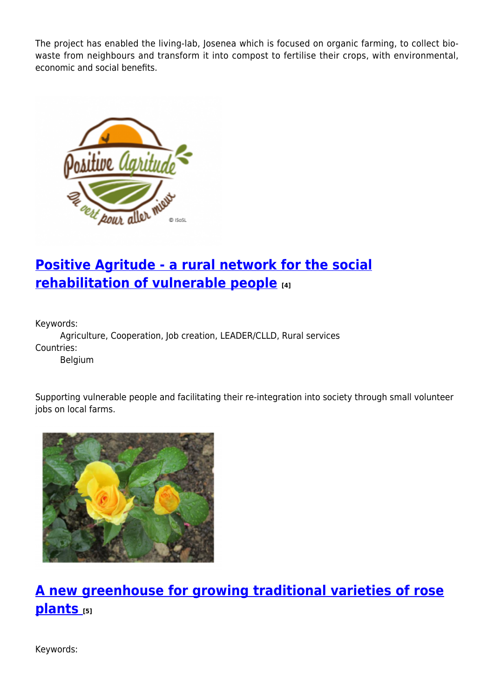The project has enabled the living-lab, Josenea which is focused on organic farming, to collect biowaste from neighbours and transform it into compost to fertilise their crops, with environmental, economic and social benefits.



## **[Positive Agritude - a rural network for the social](https://enrd.ec.europa.eu/projects-practice/positive-agritude-rural-network-social-rehabilitation-vulnerable-people_en) [rehabilitation of vulnerable people](https://enrd.ec.europa.eu/projects-practice/positive-agritude-rural-network-social-rehabilitation-vulnerable-people_en) [4]**

Keywords:

Agriculture, Cooperation, Job creation, LEADER/CLLD, Rural services Countries:

Belgium

Supporting vulnerable people and facilitating their re-integration into society through small volunteer jobs on local farms.



# **[A new greenhouse for growing traditional varieties of rose](https://enrd.ec.europa.eu/projects-practice/new-greenhouse-growing-traditional-varieties-rose-plants_en) [plants](https://enrd.ec.europa.eu/projects-practice/new-greenhouse-growing-traditional-varieties-rose-plants_en) [5]**

Keywords: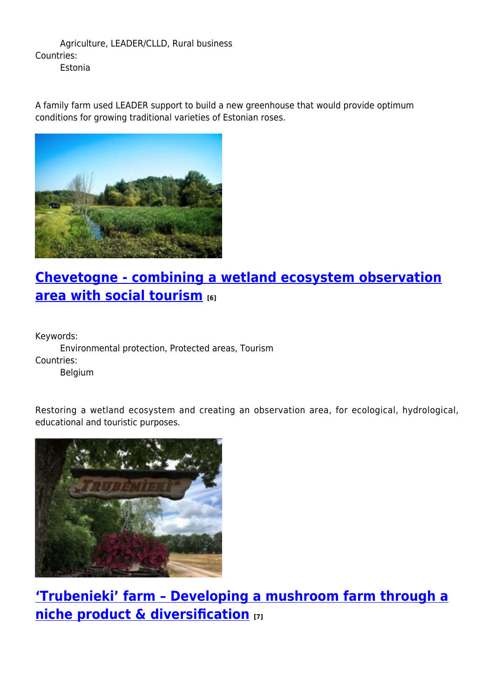Agriculture, LEADER/CLLD, Rural business Countries: Estonia

A family farm used LEADER support to build a new greenhouse that would provide optimum conditions for growing traditional varieties of Estonian roses.



# **[Chevetogne - combining a wetland ecosystem observation](https://enrd.ec.europa.eu/projects-practice/chevetogne-combining-wetland-ecosystem-observation-area-social-tourism_en) [area with social tourism](https://enrd.ec.europa.eu/projects-practice/chevetogne-combining-wetland-ecosystem-observation-area-social-tourism_en) [6]**

Keywords:

Environmental protection, Protected areas, Tourism Countries: Belgium

Restoring a wetland ecosystem and creating an observation area, for ecological, hydrological, educational and touristic purposes.



**['Trubenieki' farm – Developing a mushroom farm through a](https://enrd.ec.europa.eu/projects-practice/trubenieki-farm-developing-mushroom-farm-through-niche-product-diversification_en) [niche product & diversification](https://enrd.ec.europa.eu/projects-practice/trubenieki-farm-developing-mushroom-farm-through-niche-product-diversification_en) [7]**